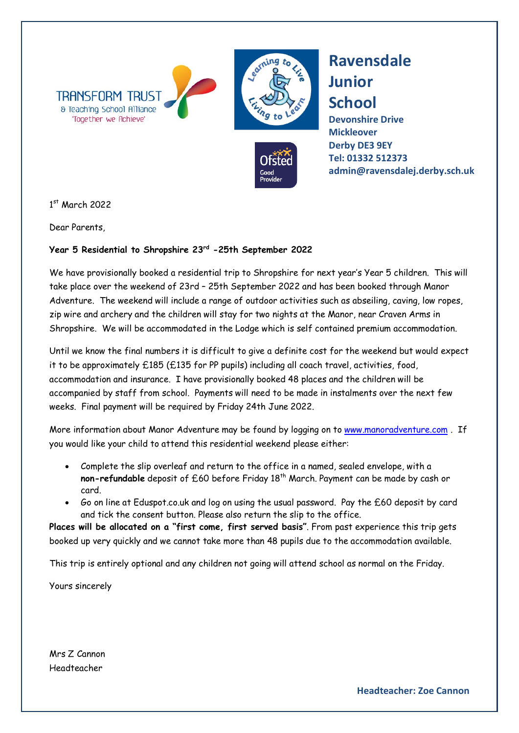



**Ravensdale Junior School**

**Devonshire Drive Mickleover Derby DE3 9EY [Tel: 01332](tel:01332) 512373 admin@ravensdalej.derby.sch.uk**

1 st March 2022

Dear Parents,

## **Year 5 Residential to Shropshire 23rd -25th September 2022**

We have provisionally booked a residential trip to Shropshire for next year's Year 5 children. This will take place over the weekend of 23rd – 25th September 2022 and has been booked through Manor Adventure. The weekend will include a range of outdoor activities such as abseiling, caving, low ropes, zip wire and archery and the children will stay for two nights at the Manor, near Craven Arms in Shropshire. We will be accommodated in the Lodge which is self contained premium accommodation.

Until we know the final numbers it is difficult to give a definite cost for the weekend but would expect it to be approximately £185 (£135 for PP pupils) including all coach travel, activities, food, accommodation and insurance. I have provisionally booked 48 places and the children will be accompanied by staff from school. Payments will need to be made in instalments over the next few weeks. Final payment will be required by Friday 24th June 2022.

More information about Manor Adventure may be found by logging on to [www.manoradventure.com](http://www.manoradventure.com/) . If you would like your child to attend this residential weekend please either:

- Complete the slip overleaf and return to the office in a named, sealed envelope, with a **non-refundable** deposit of £60 before Friday 18<sup>th</sup> March. Payment can be made by cash or card.
- Go on line at Eduspot.co.uk and log on using the usual password. Pay the £60 deposit by card and tick the consent button. Please also return the slip to the office.

**Places will be allocated on a "first come, first served basis"**. From past experience this trip gets booked up very quickly and we cannot take more than 48 pupils due to the accommodation available.

This trip is entirely optional and any children not going will attend school as normal on the Friday.

Yours sincerely

Mrs Z Cannon Headteacher

**Headteacher: Zoe Cannon**